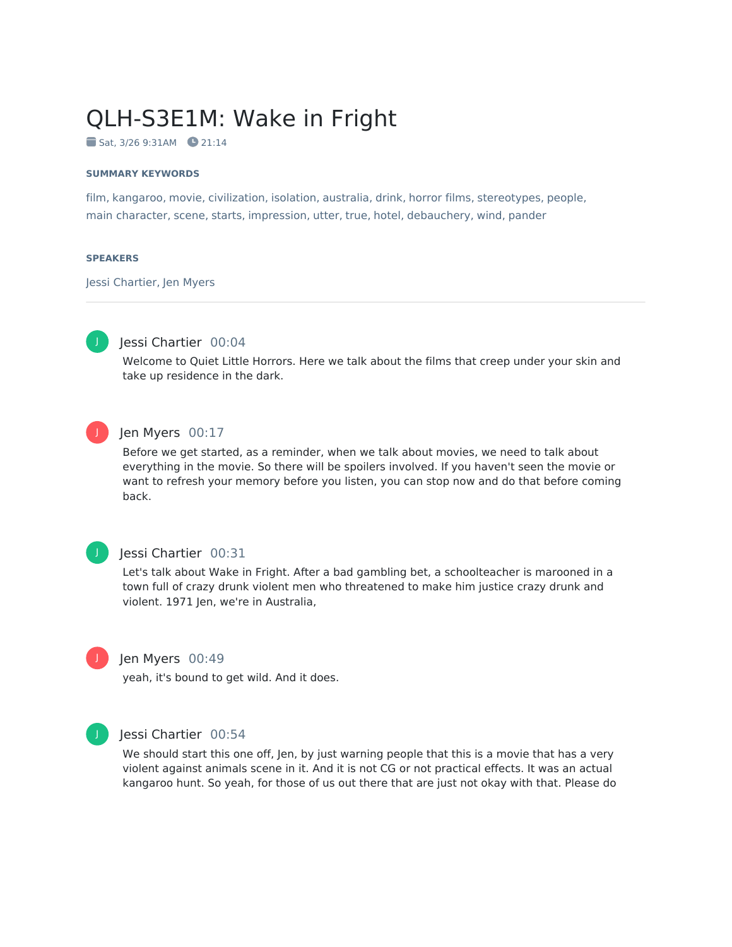# QLH-S3E1M: Wake in Fright

 $Sat. 3/26 9:31AM 21:14$ 

#### **SUMMARY KEYWORDS**

film, kangaroo, movie, civilization, isolation, australia, drink, horror films, stereotypes, people, main character, scene, starts, impression, utter, true, hotel, debauchery, wind, pander

#### **SPEAKERS**

Jessi Chartier, Jen Myers



# Jessi Chartier 00:04

Welcome to Quiet Little Horrors. Here we talk about the films that creep under your skin and take up residence in the dark.



# Jen Myers 00:17

Before we get started, as a reminder, when we talk about movies, we need to talk about everything in the movie. So there will be spoilers involved. If you haven't seen the movie or want to refresh your memory before you listen, you can stop now and do that before coming back.

# J

# Jessi Chartier 00:31

Let's talk about Wake in Fright. After a bad gambling bet, a schoolteacher is marooned in a town full of crazy drunk violent men who threatened to make him justice crazy drunk and violent. 1971 Jen, we're in Australia,



#### Jen Myers 00:49

yeah, it's bound to get wild. And it does.



#### Jessi Chartier 00:54

We should start this one off, Jen, by just warning people that this is a movie that has a very violent against animals scene in it. And it is not CG or not practical effects. It was an actual kangaroo hunt. So yeah, for those of us out there that are just not okay with that. Please do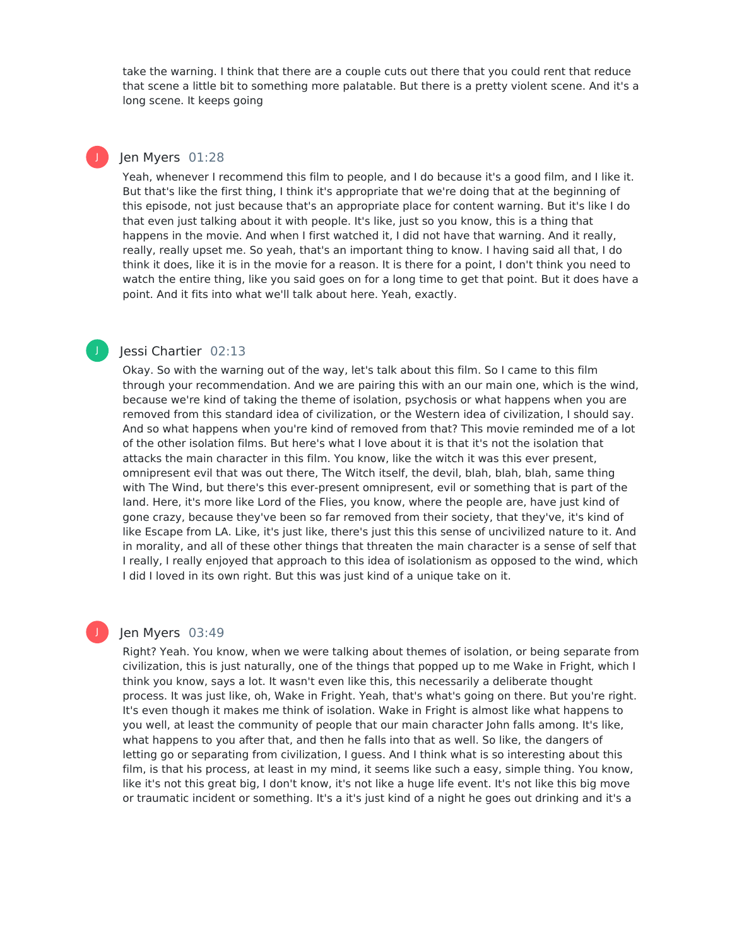take the warning. I think that there are a couple cuts out there that you could rent that reduce that scene a little bit to something more palatable. But there is a pretty violent scene. And it's a long scene. It keeps going

# Jen Myers 01:28

J

J

Yeah, whenever I recommend this film to people, and I do because it's a good film, and I like it. But that's like the first thing, I think it's appropriate that we're doing that at the beginning of this episode, not just because that's an appropriate place for content warning. But it's like I do that even just talking about it with people. It's like, just so you know, this is a thing that happens in the movie. And when I first watched it, I did not have that warning. And it really, really, really upset me. So yeah, that's an important thing to know. I having said all that, I do think it does, like it is in the movie for a reason. It is there for a point, I don't think you need to watch the entire thing, like you said goes on for a long time to get that point. But it does have a point. And it fits into what we'll talk about here. Yeah, exactly.

# Jessi Chartier 02:13

Okay. So with the warning out of the way, let's talk about this film. So I came to this film through your recommendation. And we are pairing this with an our main one, which is the wind, because we're kind of taking the theme of isolation, psychosis or what happens when you are removed from this standard idea of civilization, or the Western idea of civilization, I should say. And so what happens when you're kind of removed from that? This movie reminded me of a lot of the other isolation films. But here's what I love about it is that it's not the isolation that attacks the main character in this film. You know, like the witch it was this ever present, omnipresent evil that was out there, The Witch itself, the devil, blah, blah, blah, same thing with The Wind, but there's this ever-present omnipresent, evil or something that is part of the land. Here, it's more like Lord of the Flies, you know, where the people are, have just kind of gone crazy, because they've been so far removed from their society, that they've, it's kind of like Escape from LA. Like, it's just like, there's just this this sense of uncivilized nature to it. And in morality, and all of these other things that threaten the main character is a sense of self that I really, I really enjoyed that approach to this idea of isolationism as opposed to the wind, which I did I loved in its own right. But this was just kind of a unique take on it.

# Jen Myers 03:49

Right? Yeah. You know, when we were talking about themes of isolation, or being separate from civilization, this is just naturally, one of the things that popped up to me Wake in Fright, which I think you know, says a lot. It wasn't even like this, this necessarily a deliberate thought process. It was just like, oh, Wake in Fright. Yeah, that's what's going on there. But you're right. It's even though it makes me think of isolation. Wake in Fright is almost like what happens to you well, at least the community of people that our main character John falls among. It's like, what happens to you after that, and then he falls into that as well. So like, the dangers of letting go or separating from civilization, I guess. And I think what is so interesting about this film, is that his process, at least in my mind, it seems like such a easy, simple thing. You know, like it's not this great big, I don't know, it's not like a huge life event. It's not like this big move or traumatic incident or something. It's a it's just kind of a night he goes out drinking and it's a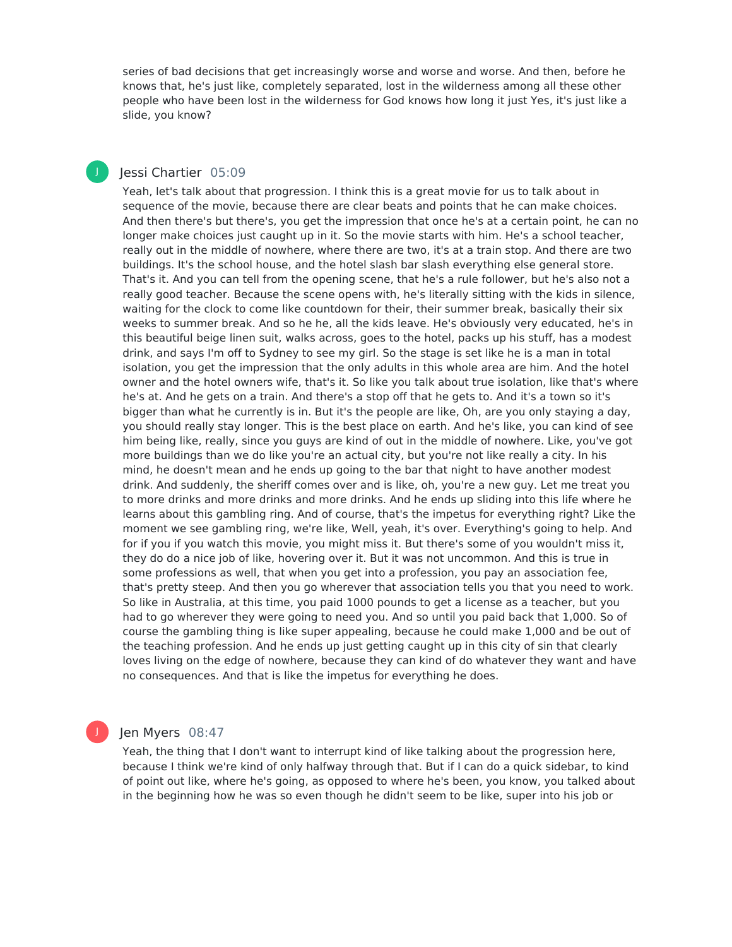series of bad decisions that get increasingly worse and worse and worse. And then, before he knows that, he's just like, completely separated, lost in the wilderness among all these other people who have been lost in the wilderness for God knows how long it just Yes, it's just like a slide, you know?

# Jessi Chartier 05:09

J

Yeah, let's talk about that progression. I think this is a great movie for us to talk about in sequence of the movie, because there are clear beats and points that he can make choices. And then there's but there's, you get the impression that once he's at a certain point, he can no longer make choices just caught up in it. So the movie starts with him. He's a school teacher, really out in the middle of nowhere, where there are two, it's at a train stop. And there are two buildings. It's the school house, and the hotel slash bar slash everything else general store. That's it. And you can tell from the opening scene, that he's a rule follower, but he's also not a really good teacher. Because the scene opens with, he's literally sitting with the kids in silence, waiting for the clock to come like countdown for their, their summer break, basically their six weeks to summer break. And so he he, all the kids leave. He's obviously very educated, he's in this beautiful beige linen suit, walks across, goes to the hotel, packs up his stuff, has a modest drink, and says I'm off to Sydney to see my girl. So the stage is set like he is a man in total isolation, you get the impression that the only adults in this whole area are him. And the hotel owner and the hotel owners wife, that's it. So like you talk about true isolation, like that's where he's at. And he gets on a train. And there's a stop off that he gets to. And it's a town so it's bigger than what he currently is in. But it's the people are like, Oh, are you only staying a day, you should really stay longer. This is the best place on earth. And he's like, you can kind of see him being like, really, since you guys are kind of out in the middle of nowhere. Like, you've got more buildings than we do like you're an actual city, but you're not like really a city. In his mind, he doesn't mean and he ends up going to the bar that night to have another modest drink. And suddenly, the sheriff comes over and is like, oh, you're a new guy. Let me treat you to more drinks and more drinks and more drinks. And he ends up sliding into this life where he learns about this gambling ring. And of course, that's the impetus for everything right? Like the moment we see gambling ring, we're like, Well, yeah, it's over. Everything's going to help. And for if you if you watch this movie, you might miss it. But there's some of you wouldn't miss it, they do do a nice job of like, hovering over it. But it was not uncommon. And this is true in some professions as well, that when you get into a profession, you pay an association fee, that's pretty steep. And then you go wherever that association tells you that you need to work. So like in Australia, at this time, you paid 1000 pounds to get a license as a teacher, but you had to go wherever they were going to need you. And so until you paid back that 1,000. So of course the gambling thing is like super appealing, because he could make 1,000 and be out of the teaching profession. And he ends up just getting caught up in this city of sin that clearly loves living on the edge of nowhere, because they can kind of do whatever they want and have no consequences. And that is like the impetus for everything he does.

#### Jen Myers 08:47

Yeah, the thing that I don't want to interrupt kind of like talking about the progression here, because I think we're kind of only halfway through that. But if I can do a quick sidebar, to kind of point out like, where he's going, as opposed to where he's been, you know, you talked about in the beginning how he was so even though he didn't seem to be like, super into his job or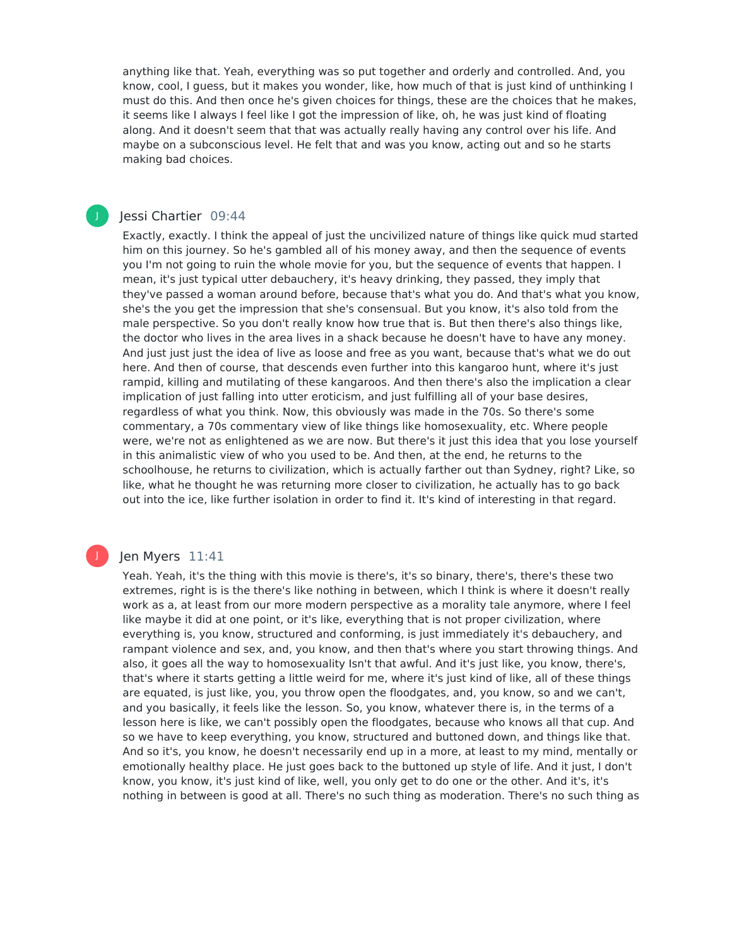anything like that. Yeah, everything was so put together and orderly and controlled. And, you know, cool, I guess, but it makes you wonder, like, how much of that is just kind of unthinking I must do this. And then once he's given choices for things, these are the choices that he makes, it seems like I always I feel like I got the impression of like, oh, he was just kind of floating along. And it doesn't seem that that was actually really having any control over his life. And maybe on a subconscious level. He felt that and was you know, acting out and so he starts making bad choices.

### Jessi Chartier 09:44

J

Exactly, exactly. I think the appeal of just the uncivilized nature of things like quick mud started him on this journey. So he's gambled all of his money away, and then the sequence of events you I'm not going to ruin the whole movie for you, but the sequence of events that happen. I mean, it's just typical utter debauchery, it's heavy drinking, they passed, they imply that they've passed a woman around before, because that's what you do. And that's what you know, she's the you get the impression that she's consensual. But you know, it's also told from the male perspective. So you don't really know how true that is. But then there's also things like, the doctor who lives in the area lives in a shack because he doesn't have to have any money. And just just just the idea of live as loose and free as you want, because that's what we do out here. And then of course, that descends even further into this kangaroo hunt, where it's just rampid, killing and mutilating of these kangaroos. And then there's also the implication a clear implication of just falling into utter eroticism, and just fulfilling all of your base desires, regardless of what you think. Now, this obviously was made in the 70s. So there's some commentary, a 70s commentary view of like things like homosexuality, etc. Where people were, we're not as enlightened as we are now. But there's it just this idea that you lose yourself in this animalistic view of who you used to be. And then, at the end, he returns to the schoolhouse, he returns to civilization, which is actually farther out than Sydney, right? Like, so like, what he thought he was returning more closer to civilization, he actually has to go back out into the ice, like further isolation in order to find it. It's kind of interesting in that regard.

#### Jen Myers 11:41

Yeah. Yeah, it's the thing with this movie is there's, it's so binary, there's, there's these two extremes, right is is the there's like nothing in between, which I think is where it doesn't really work as a, at least from our more modern perspective as a morality tale anymore, where I feel like maybe it did at one point, or it's like, everything that is not proper civilization, where everything is, you know, structured and conforming, is just immediately it's debauchery, and rampant violence and sex, and, you know, and then that's where you start throwing things. And also, it goes all the way to homosexuality Isn't that awful. And it's just like, you know, there's, that's where it starts getting a little weird for me, where it's just kind of like, all of these things are equated, is just like, you, you throw open the floodgates, and, you know, so and we can't, and you basically, it feels like the lesson. So, you know, whatever there is, in the terms of a lesson here is like, we can't possibly open the floodgates, because who knows all that cup. And so we have to keep everything, you know, structured and buttoned down, and things like that. And so it's, you know, he doesn't necessarily end up in a more, at least to my mind, mentally or emotionally healthy place. He just goes back to the buttoned up style of life. And it just, I don't know, you know, it's just kind of like, well, you only get to do one or the other. And it's, it's nothing in between is good at all. There's no such thing as moderation. There's no such thing as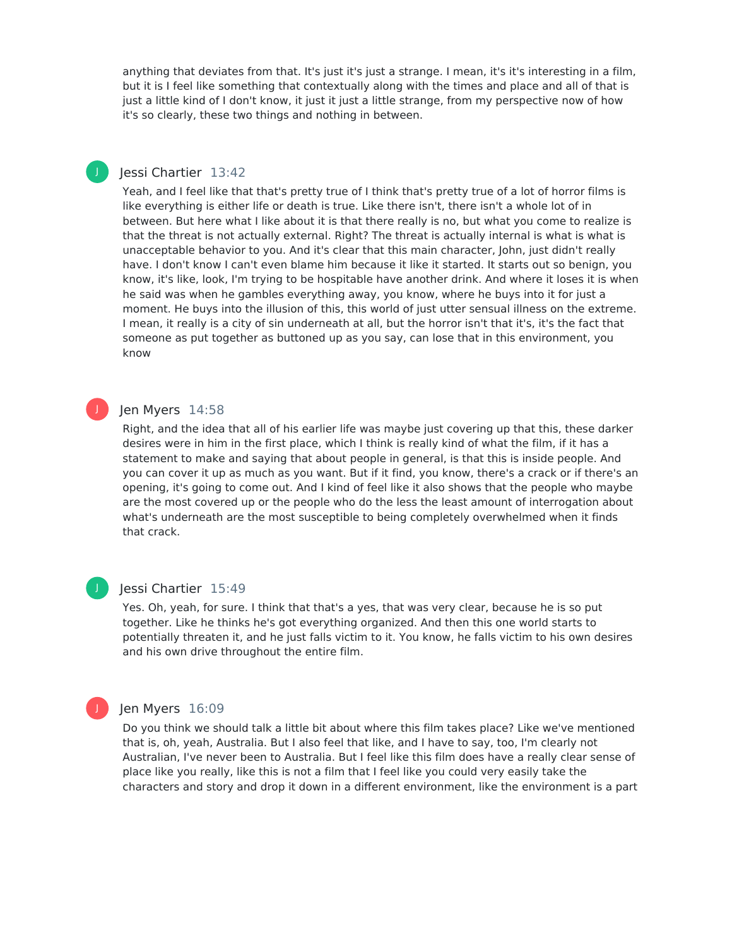anything that deviates from that. It's just it's just a strange. I mean, it's it's interesting in a film, but it is I feel like something that contextually along with the times and place and all of that is just a little kind of I don't know, it just it just a little strange, from my perspective now of how it's so clearly, these two things and nothing in between.

# Jessi Chartier 13:42

J

Yeah, and I feel like that that's pretty true of I think that's pretty true of a lot of horror films is like everything is either life or death is true. Like there isn't, there isn't a whole lot of in between. But here what I like about it is that there really is no, but what you come to realize is that the threat is not actually external. Right? The threat is actually internal is what is what is unacceptable behavior to you. And it's clear that this main character, John, just didn't really have. I don't know I can't even blame him because it like it started. It starts out so benign, you know, it's like, look, I'm trying to be hospitable have another drink. And where it loses it is when he said was when he gambles everything away, you know, where he buys into it for just a moment. He buys into the illusion of this, this world of just utter sensual illness on the extreme. I mean, it really is a city of sin underneath at all, but the horror isn't that it's, it's the fact that someone as put together as buttoned up as you say, can lose that in this environment, you know

# Jen Myers 14:58

Right, and the idea that all of his earlier life was maybe just covering up that this, these darker desires were in him in the first place, which I think is really kind of what the film, if it has a statement to make and saying that about people in general, is that this is inside people. And you can cover it up as much as you want. But if it find, you know, there's a crack or if there's an opening, it's going to come out. And I kind of feel like it also shows that the people who maybe are the most covered up or the people who do the less the least amount of interrogation about what's underneath are the most susceptible to being completely overwhelmed when it finds that crack.



J

#### Jessi Chartier 15:49

Yes. Oh, yeah, for sure. I think that that's a yes, that was very clear, because he is so put together. Like he thinks he's got everything organized. And then this one world starts to potentially threaten it, and he just falls victim to it. You know, he falls victim to his own desires and his own drive throughout the entire film.

# Jen Myers 16:09

Do you think we should talk a little bit about where this film takes place? Like we've mentioned that is, oh, yeah, Australia. But I also feel that like, and I have to say, too, I'm clearly not Australian, I've never been to Australia. But I feel like this film does have a really clear sense of place like you really, like this is not a film that I feel like you could very easily take the characters and story and drop it down in a different environment, like the environment is a part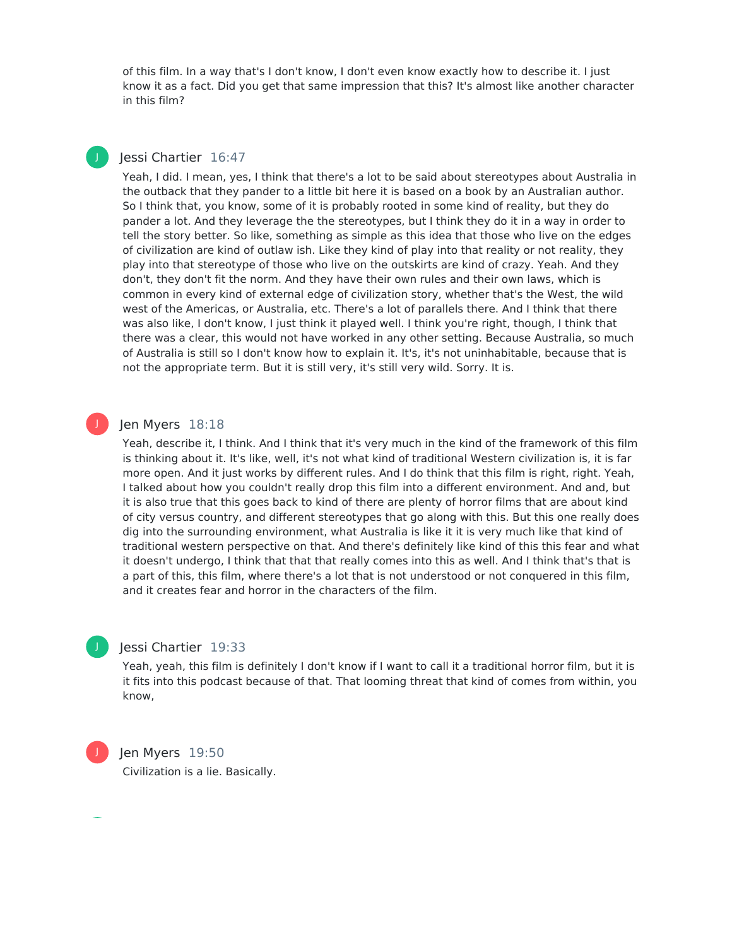of this film. In a way that's I don't know, I don't even know exactly how to describe it. I just know it as a fact. Did you get that same impression that this? It's almost like another character in this film?

# Jessi Chartier 16:47

J

J

Yeah, I did. I mean, yes, I think that there's a lot to be said about stereotypes about Australia in the outback that they pander to a little bit here it is based on a book by an Australian author. So I think that, you know, some of it is probably rooted in some kind of reality, but they do pander a lot. And they leverage the the stereotypes, but I think they do it in a way in order to tell the story better. So like, something as simple as this idea that those who live on the edges of civilization are kind of outlaw ish. Like they kind of play into that reality or not reality, they play into that stereotype of those who live on the outskirts are kind of crazy. Yeah. And they don't, they don't fit the norm. And they have their own rules and their own laws, which is common in every kind of external edge of civilization story, whether that's the West, the wild west of the Americas, or Australia, etc. There's a lot of parallels there. And I think that there was also like, I don't know, I just think it played well. I think you're right, though, I think that there was a clear, this would not have worked in any other setting. Because Australia, so much of Australia is still so I don't know how to explain it. It's, it's not uninhabitable, because that is not the appropriate term. But it is still very, it's still very wild. Sorry. It is.

# Jen Myers 18:18

Yeah, describe it, I think. And I think that it's very much in the kind of the framework of this film is thinking about it. It's like, well, it's not what kind of traditional Western civilization is, it is far more open. And it just works by different rules. And I do think that this film is right, right. Yeah, I talked about how you couldn't really drop this film into a different environment. And and, but it is also true that this goes back to kind of there are plenty of horror films that are about kind of city versus country, and different stereotypes that go along with this. But this one really does dig into the surrounding environment, what Australia is like it it is very much like that kind of traditional western perspective on that. And there's definitely like kind of this this fear and what it doesn't undergo, I think that that that really comes into this as well. And I think that's that is a part of this, this film, where there's a lot that is not understood or not conquered in this film, and it creates fear and horror in the characters of the film.

# Jessi Chartier 19:33

Yeah, yeah, this film is definitely I don't know if I want to call it a traditional horror film, but it is it fits into this podcast because of that. That looming threat that kind of comes from within, you know,



J

# Jen Myers 19:50

Civilization is a lie. Basically.